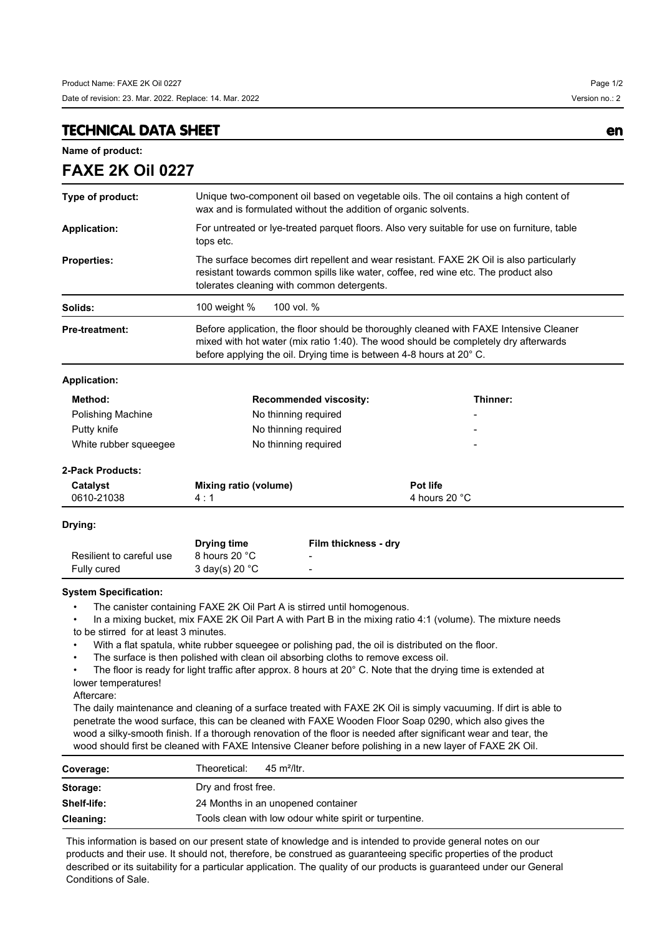## **TECHNICAL DATA SHEET en**

**FAXE 2K Oil 0227**

**Name of product:**

| VAL ZI\ VII VZZI                      |                                                                                                                                                                                                                                                      |                      |                                                                                                            |  |
|---------------------------------------|------------------------------------------------------------------------------------------------------------------------------------------------------------------------------------------------------------------------------------------------------|----------------------|------------------------------------------------------------------------------------------------------------|--|
| Type of product:                      | Unique two-component oil based on vegetable oils. The oil contains a high content of<br>wax and is formulated without the addition of organic solvents.                                                                                              |                      |                                                                                                            |  |
| <b>Application:</b>                   | For untreated or lye-treated parquet floors. Also very suitable for use on furniture, table<br>tops etc.                                                                                                                                             |                      |                                                                                                            |  |
| <b>Properties:</b>                    | The surface becomes dirt repellent and wear resistant. FAXE 2K Oil is also particularly<br>resistant towards common spills like water, coffee, red wine etc. The product also<br>tolerates cleaning with common detergents.                          |                      |                                                                                                            |  |
| Solids:                               | 100 vol. %<br>100 weight %                                                                                                                                                                                                                           |                      |                                                                                                            |  |
| <b>Pre-treatment:</b>                 | Before application, the floor should be thoroughly cleaned with FAXE Intensive Cleaner<br>mixed with hot water (mix ratio 1:40). The wood should be completely dry afterwards<br>before applying the oil. Drying time is between 4-8 hours at 20° C. |                      |                                                                                                            |  |
| <b>Application:</b>                   |                                                                                                                                                                                                                                                      |                      |                                                                                                            |  |
| Method:                               | <b>Recommended viscosity:</b>                                                                                                                                                                                                                        |                      | Thinner:                                                                                                   |  |
| Polishing Machine                     | No thinning required                                                                                                                                                                                                                                 |                      |                                                                                                            |  |
| Putty knife                           | No thinning required                                                                                                                                                                                                                                 |                      |                                                                                                            |  |
| White rubber squeegee                 | No thinning required                                                                                                                                                                                                                                 |                      |                                                                                                            |  |
| <b>2-Pack Products:</b>               |                                                                                                                                                                                                                                                      |                      |                                                                                                            |  |
| Catalyst                              | <b>Mixing ratio (volume)</b>                                                                                                                                                                                                                         |                      | Pot life                                                                                                   |  |
| 0610-21038                            | 4:1                                                                                                                                                                                                                                                  |                      | 4 hours 20 °C                                                                                              |  |
| Drying:                               |                                                                                                                                                                                                                                                      |                      |                                                                                                            |  |
|                                       | Drying time                                                                                                                                                                                                                                          | Film thickness - dry |                                                                                                            |  |
| Resilient to careful use              | 8 hours 20 °C                                                                                                                                                                                                                                        |                      |                                                                                                            |  |
| Fully cured                           | 3 day(s) 20 °C                                                                                                                                                                                                                                       |                      |                                                                                                            |  |
| <b>System Specification:</b>          |                                                                                                                                                                                                                                                      |                      |                                                                                                            |  |
| to be stirred for at least 3 minutes. | The canister containing FAXE 2K Oil Part A is stirred until homogenous.                                                                                                                                                                              |                      | In a mixing bucket, mix FAXE 2K Oil Part A with Part B in the mixing ratio 4:1 (volume). The mixture needs |  |
|                                       | With a flat spatula, white rubber squeegee or polishing pad, the oil is distributed on the floor.                                                                                                                                                    |                      |                                                                                                            |  |

• The surface is then polished with clean oil absorbing cloths to remove excess oil.

The floor is ready for light traffic after approx. 8 hours at 20° C. Note that the drying time is extended at lower temperatures!

Aftercare:

The daily maintenance and cleaning of a surface treated with FAXE 2K Oil is simply vacuuming. If dirt is able to penetrate the wood surface, this can be cleaned with FAXE Wooden Floor Soap 0290, which also gives the wood a silky-smooth finish. If a thorough renovation of the floor is needed after significant wear and tear, the wood should first be cleaned with FAXE Intensive Cleaner before polishing in a new layer of FAXE 2K Oil.

| Coverage:   | Theoretical:<br>$45 \text{ m}^2$ /ltr.                 |  |  |
|-------------|--------------------------------------------------------|--|--|
| Storage:    | Dry and frost free.                                    |  |  |
| Shelf-life: | 24 Months in an unopened container                     |  |  |
| Cleaning:   | Tools clean with low odour white spirit or turpentine. |  |  |

This information is based on our present state of knowledge and is intended to provide general notes on our products and their use. It should not, therefore, be construed as guaranteeing specific properties of the product described or its suitability for a particular application. The quality of our products is guaranteed under our General Conditions of Sale.